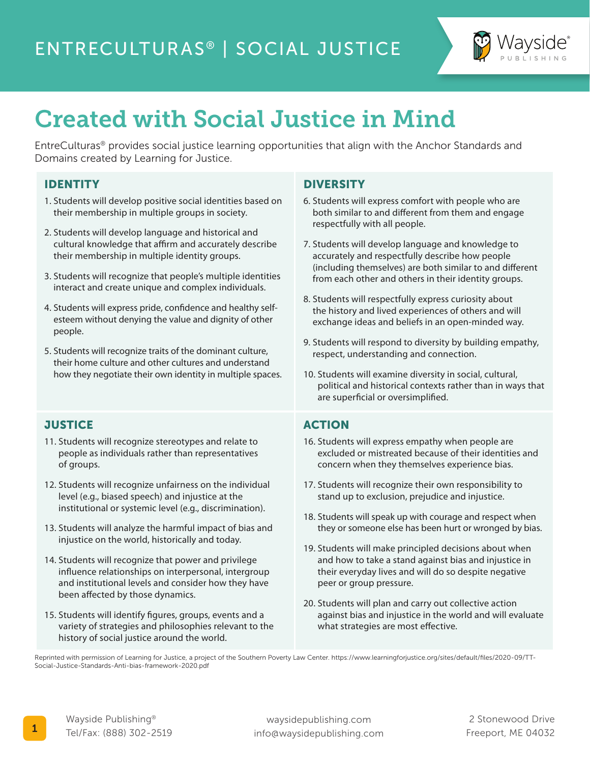

# Created with Social Justice in Mind

EntreCulturas® provides social justice learning opportunities that align with the Anchor Standards and Domains created by Learning for Justice.

#### IDENTITY

- 1. Students will develop positive social identities based on their membership in multiple groups in society.
- 2. Students will develop language and historical and cultural knowledge that affirm and accurately describe their membership in multiple identity groups.
- 3. Students will recognize that people's multiple identities interact and create unique and complex individuals.
- 4. Students will express pride, confidence and healthy selfesteem without denying the value and dignity of other people.
- 5. Students will recognize traits of the dominant culture, their home culture and other cultures and understand how they negotiate their own identity in multiple spaces.

#### **JUSTICE**

- 11. Students will recognize stereotypes and relate to people as individuals rather than representatives of groups.
- 12. Students will recognize unfairness on the individual level (e.g., biased speech) and injustice at the institutional or systemic level (e.g., discrimination).
- 13. Students will analyze the harmful impact of bias and injustice on the world, historically and today.
- 14. Students will recognize that power and privilege influence relationships on interpersonal, intergroup and institutional levels and consider how they have been affected by those dynamics.
- 15. Students will identify figures, groups, events and a variety of strategies and philosophies relevant to the history of social justice around the world.

#### **DIVERSITY**

- 6. Students will express comfort with people who are both similar to and different from them and engage respectfully with all people.
- 7. Students will develop language and knowledge to accurately and respectfully describe how people (including themselves) are both similar to and different from each other and others in their identity groups.
- 8. Students will respectfully express curiosity about the history and lived experiences of others and will exchange ideas and beliefs in an open-minded way.
- 9. Students will respond to diversity by building empathy, respect, understanding and connection.
- 10. Students will examine diversity in social, cultural, political and historical contexts rather than in ways that are superficial or oversimplified.

#### ACTION

- 16. Students will express empathy when people are excluded or mistreated because of their identities and concern when they themselves experience bias.
- 17. Students will recognize their own responsibility to stand up to exclusion, prejudice and injustice.
- 18. Students will speak up with courage and respect when they or someone else has been hurt or wronged by bias.
- 19. Students will make principled decisions about when and how to take a stand against bias and injustice in their everyday lives and will do so despite negative peer or group pressure.
- 20. Students will plan and carry out collective action against bias and injustice in the world and will evaluate what strategies are most effective.

Reprinted with permission of Learning for Justice, a project of the Southern Poverty Law Center. https://www.learningforjustice.org/sites/default/files/2020-09/TT-Social-Justice-Standards-Anti-bias-framework-2020.pdf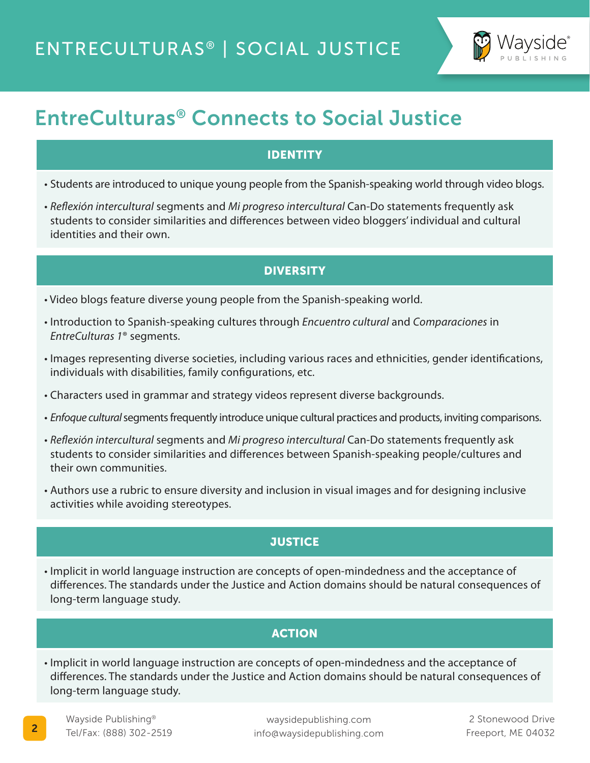

## EntreCulturas® Connects to Social Justice

#### IDENTITY

- Students are introduced to unique young people from the Spanish-speaking world through video blogs.
- *Reflexión intercultural* segments and *Mi progreso intercultural* Can-Do statements frequently ask students to consider similarities and differences between video bloggers' individual and cultural identities and their own.

#### **DIVERSITY**

- Video blogs feature diverse young people from the Spanish-speaking world.
- Introduction to Spanish-speaking cultures through *Encuentro cultural* and *Comparaciones* in *EntreCulturas 1*® segments.
- Images representing diverse societies, including various races and ethnicities, gender identifications, individuals with disabilities, family configurations, etc.
- Characters used in grammar and strategy videos represent diverse backgrounds.
- *Enfoque cultural* segments frequently introduce unique cultural practices and products, inviting comparisons.
- *Reflexión intercultural* segments and *Mi progreso intercultural* Can-Do statements frequently ask students to consider similarities and differences between Spanish-speaking people/cultures and their own communities.
- Authors use a rubric to ensure diversity and inclusion in visual images and for designing inclusive activities while avoiding stereotypes.

#### **JUSTICE**

• Implicit in world language instruction are concepts of open-mindedness and the acceptance of differences. The standards under the Justice and Action domains should be natural consequences of long-term language study.

#### **ACTION**

• Implicit in world language instruction are concepts of open-mindedness and the acceptance of differences. The standards under the Justice and Action domains should be natural consequences of long-term language study.

waysidepublishing.com info@waysidepublishing.com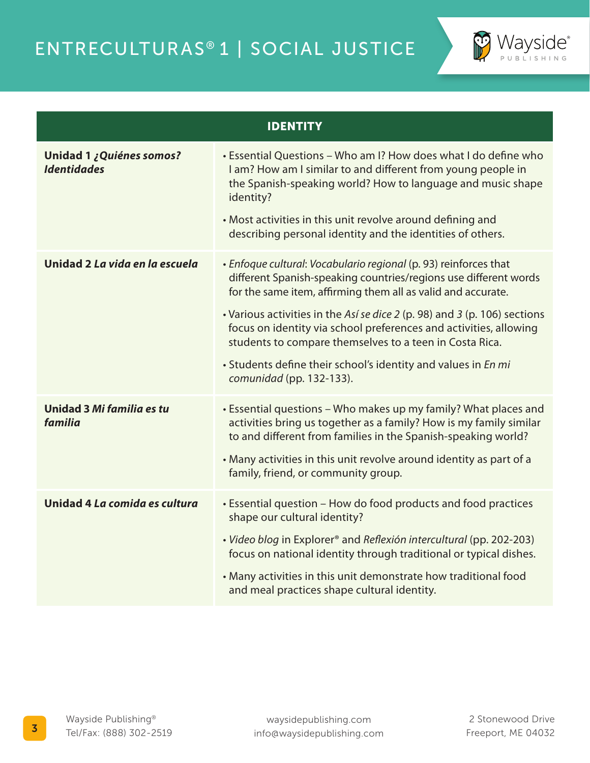

| <b>IDENTITY</b>                                |                                                                                                                                                                                                                                                                                                                                                                                                                                                                                                                |
|------------------------------------------------|----------------------------------------------------------------------------------------------------------------------------------------------------------------------------------------------------------------------------------------------------------------------------------------------------------------------------------------------------------------------------------------------------------------------------------------------------------------------------------------------------------------|
| Unidad 1 ¿Quiénes somos?<br><b>Identidades</b> | • Essential Questions - Who am I? How does what I do define who<br>I am? How am I similar to and different from young people in<br>the Spanish-speaking world? How to language and music shape<br>identity?<br>• Most activities in this unit revolve around defining and<br>describing personal identity and the identities of others.                                                                                                                                                                        |
| Unidad 2 La vida en la escuela                 | • Enfoque cultural: Vocabulario regional (p. 93) reinforces that<br>different Spanish-speaking countries/regions use different words<br>for the same item, affirming them all as valid and accurate.<br>• Various activities in the Así se dice 2 (p. 98) and 3 (p. 106) sections<br>focus on identity via school preferences and activities, allowing<br>students to compare themselves to a teen in Costa Rica.<br>• Students define their school's identity and values in En mi<br>comunidad (pp. 132-133). |
| Unidad 3 Mi familia es tu<br>familia           | • Essential questions - Who makes up my family? What places and<br>activities bring us together as a family? How is my family similar<br>to and different from families in the Spanish-speaking world?<br>• Many activities in this unit revolve around identity as part of a<br>family, friend, or community group.                                                                                                                                                                                           |
| Unidad 4 La comida es cultura                  | • Essential question - How do food products and food practices<br>shape our cultural identity?<br>· Video blog in Explorer® and Reflexión intercultural (pp. 202-203)<br>focus on national identity through traditional or typical dishes.<br>• Many activities in this unit demonstrate how traditional food<br>and meal practices shape cultural identity.                                                                                                                                                   |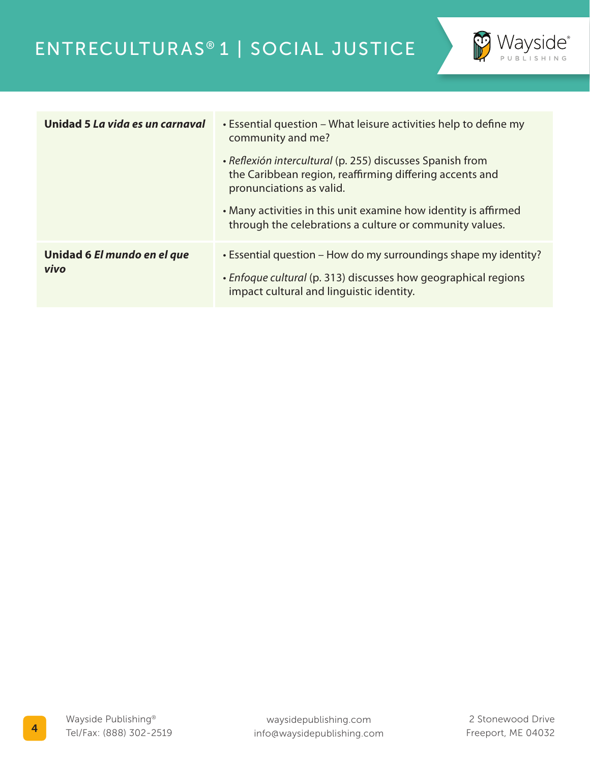

| Unidad 5 La vida es un carnaval     | • Essential question – What leisure activities help to define my<br>community and me?                                                            |
|-------------------------------------|--------------------------------------------------------------------------------------------------------------------------------------------------|
|                                     | • Reflexión intercultural (p. 255) discusses Spanish from<br>the Caribbean region, reaffirming differing accents and<br>pronunciations as valid. |
|                                     | • Many activities in this unit examine how identity is affirmed<br>through the celebrations a culture or community values.                       |
| Unidad 6 El mundo en el que<br>vivo | • Essential question – How do my surroundings shape my identity?                                                                                 |
|                                     | • Enfoque cultural (p. 313) discusses how geographical regions<br>impact cultural and linguistic identity.                                       |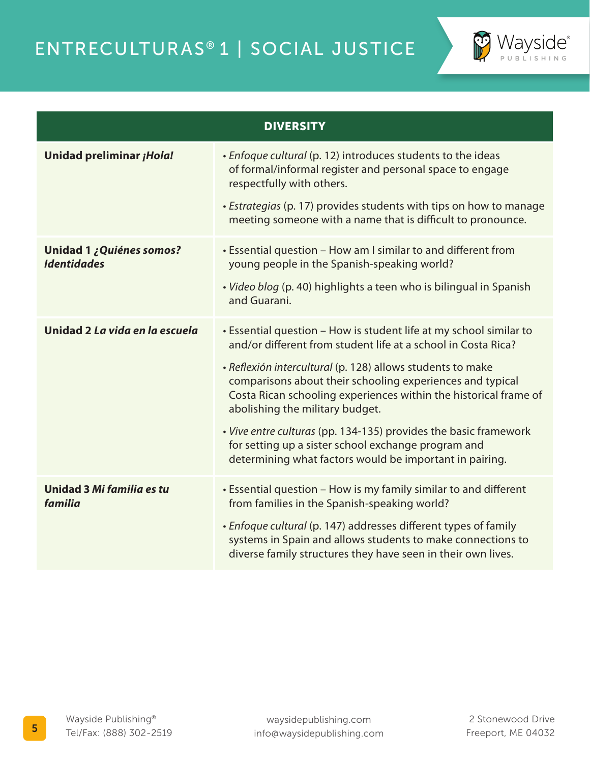

| <b>DIVERSITY</b>                               |                                                                                                                                                                                                                                                                                                                                                                                                                                                                                                                                                             |  |
|------------------------------------------------|-------------------------------------------------------------------------------------------------------------------------------------------------------------------------------------------------------------------------------------------------------------------------------------------------------------------------------------------------------------------------------------------------------------------------------------------------------------------------------------------------------------------------------------------------------------|--|
| Unidad preliminar ¡Hola!                       | • Enfoque cultural (p. 12) introduces students to the ideas<br>of formal/informal register and personal space to engage<br>respectfully with others.<br>• Estrategias (p. 17) provides students with tips on how to manage<br>meeting someone with a name that is difficult to pronounce.                                                                                                                                                                                                                                                                   |  |
| Unidad 1 ¿Quiénes somos?<br><b>Identidades</b> | • Essential question - How am I similar to and different from<br>young people in the Spanish-speaking world?<br>· Video blog (p. 40) highlights a teen who is bilingual in Spanish<br>and Guarani.                                                                                                                                                                                                                                                                                                                                                          |  |
| Unidad 2 La vida en la escuela                 | • Essential question - How is student life at my school similar to<br>and/or different from student life at a school in Costa Rica?<br>· Reflexión intercultural (p. 128) allows students to make<br>comparisons about their schooling experiences and typical<br>Costa Rican schooling experiences within the historical frame of<br>abolishing the military budget.<br>• Vive entre culturas (pp. 134-135) provides the basic framework<br>for setting up a sister school exchange program and<br>determining what factors would be important in pairing. |  |
| Unidad 3 Mi familia es tu<br>familia           | • Essential question - How is my family similar to and different<br>from families in the Spanish-speaking world?<br>• Enfoque cultural (p. 147) addresses different types of family<br>systems in Spain and allows students to make connections to<br>diverse family structures they have seen in their own lives.                                                                                                                                                                                                                                          |  |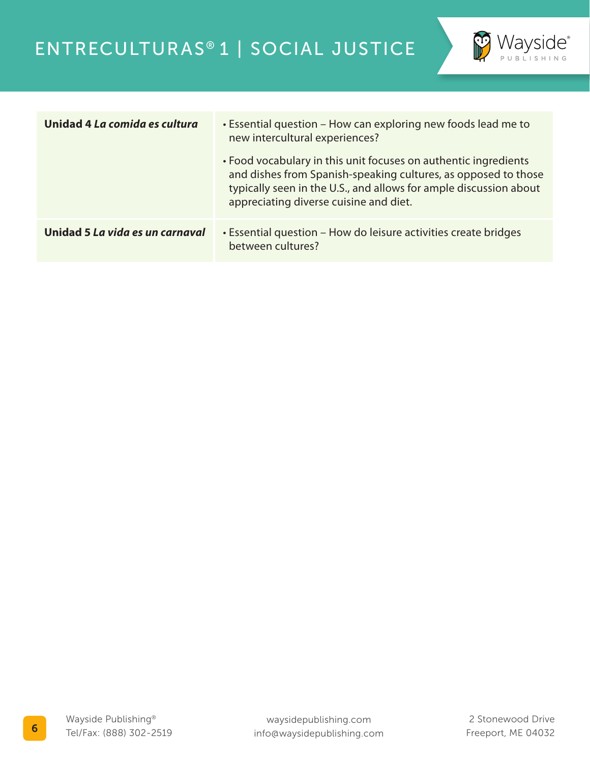

| Unidad 4 La comida es cultura   | • Essential question – How can exploring new foods lead me to<br>new intercultural experiences?<br>• Food vocabulary in this unit focuses on authentic ingredients<br>and dishes from Spanish-speaking cultures, as opposed to those<br>typically seen in the U.S., and allows for ample discussion about<br>appreciating diverse cuisine and diet. |
|---------------------------------|-----------------------------------------------------------------------------------------------------------------------------------------------------------------------------------------------------------------------------------------------------------------------------------------------------------------------------------------------------|
| Unidad 5 La vida es un carnaval | • Essential question – How do leisure activities create bridges<br>between cultures?                                                                                                                                                                                                                                                                |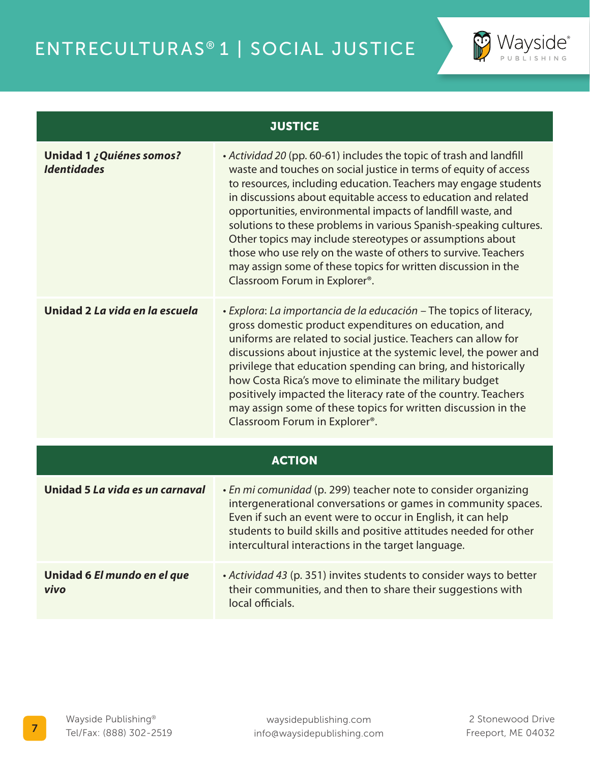

#### **JUSTICE**

| Unidad 1 ¿Quiénes somos?<br><b>Identidades</b> | • Actividad 20 (pp. 60-61) includes the topic of trash and landfill<br>waste and touches on social justice in terms of equity of access<br>to resources, including education. Teachers may engage students<br>in discussions about equitable access to education and related<br>opportunities, environmental impacts of landfill waste, and<br>solutions to these problems in various Spanish-speaking cultures.<br>Other topics may include stereotypes or assumptions about<br>those who use rely on the waste of others to survive. Teachers<br>may assign some of these topics for written discussion in the<br>Classroom Forum in Explorer <sup>®</sup> . |
|------------------------------------------------|----------------------------------------------------------------------------------------------------------------------------------------------------------------------------------------------------------------------------------------------------------------------------------------------------------------------------------------------------------------------------------------------------------------------------------------------------------------------------------------------------------------------------------------------------------------------------------------------------------------------------------------------------------------|
| Unidad 2 La vida en la escuela                 | · Explora: La importancia de la educación – The topics of literacy,<br>gross domestic product expenditures on education, and<br>uniforms are related to social justice. Teachers can allow for<br>discussions about injustice at the systemic level, the power and<br>privilege that education spending can bring, and historically<br>how Costa Rica's move to eliminate the military budget<br>positively impacted the literacy rate of the country. Teachers<br>may assign some of these topics for written discussion in the<br>Classroom Forum in Explorer <sup>®</sup> .                                                                                 |
| <b>ACTION</b>                                  |                                                                                                                                                                                                                                                                                                                                                                                                                                                                                                                                                                                                                                                                |
|                                                |                                                                                                                                                                                                                                                                                                                                                                                                                                                                                                                                                                                                                                                                |

| Unidad 5 La vida es un carnaval     | • En mi comunidad (p. 299) teacher note to consider organizing<br>intergenerational conversations or games in community spaces.<br>Even if such an event were to occur in English, it can help<br>students to build skills and positive attitudes needed for other<br>intercultural interactions in the target language. |
|-------------------------------------|--------------------------------------------------------------------------------------------------------------------------------------------------------------------------------------------------------------------------------------------------------------------------------------------------------------------------|
| Unidad 6 El mundo en el que<br>vivo | • Actividad 43 (p. 351) invites students to consider ways to better<br>their communities, and then to share their suggestions with<br>local officials.                                                                                                                                                                   |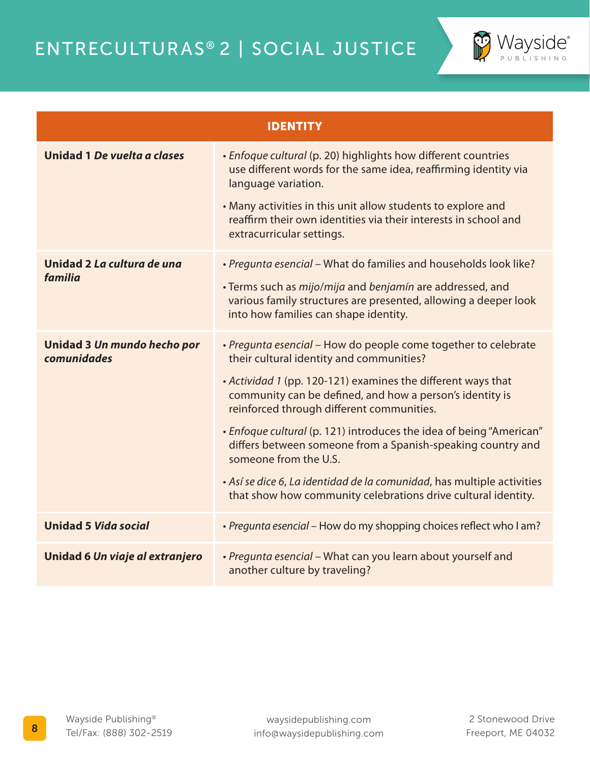

| <b>IDENTITY</b>                            |                                                                                                                                                                                                                                                                                                                                                                                                                                                                                                                                                                                               |
|--------------------------------------------|-----------------------------------------------------------------------------------------------------------------------------------------------------------------------------------------------------------------------------------------------------------------------------------------------------------------------------------------------------------------------------------------------------------------------------------------------------------------------------------------------------------------------------------------------------------------------------------------------|
| Unidad 1 De vuelta a clases                | · Enfoque cultural (p. 20) highlights how different countries<br>use different words for the same idea, reaffirming identity via<br>language variation.<br>• Many activities in this unit allow students to explore and<br>reaffirm their own identities via their interests in school and<br>extracurricular settings.                                                                                                                                                                                                                                                                       |
| Unidad 2 La cultura de una<br>familia      | · Pregunta esencial - What do families and households look like?<br>· Terms such as mijo/mija and benjamín are addressed, and<br>various family structures are presented, allowing a deeper look<br>into how families can shape identity.                                                                                                                                                                                                                                                                                                                                                     |
| Unidad 3 Un mundo hecho por<br>comunidades | · Pregunta esencial - How do people come together to celebrate<br>their cultural identity and communities?<br>• Actividad 1 (pp. 120-121) examines the different ways that<br>community can be defined, and how a person's identity is<br>reinforced through different communities.<br>• Enfoque cultural (p. 121) introduces the idea of being "American"<br>differs between someone from a Spanish-speaking country and<br>someone from the U.S.<br>· Así se dice 6, La identidad de la comunidad, has multiple activities<br>that show how community celebrations drive cultural identity. |
| <b>Unidad 5 Vida social</b>                | • Pregunta esencial - How do my shopping choices reflect who I am?                                                                                                                                                                                                                                                                                                                                                                                                                                                                                                                            |
| Unidad 6 Un viaje al extranjero            | · Pregunta esencial - What can you learn about yourself and<br>another culture by traveling?                                                                                                                                                                                                                                                                                                                                                                                                                                                                                                  |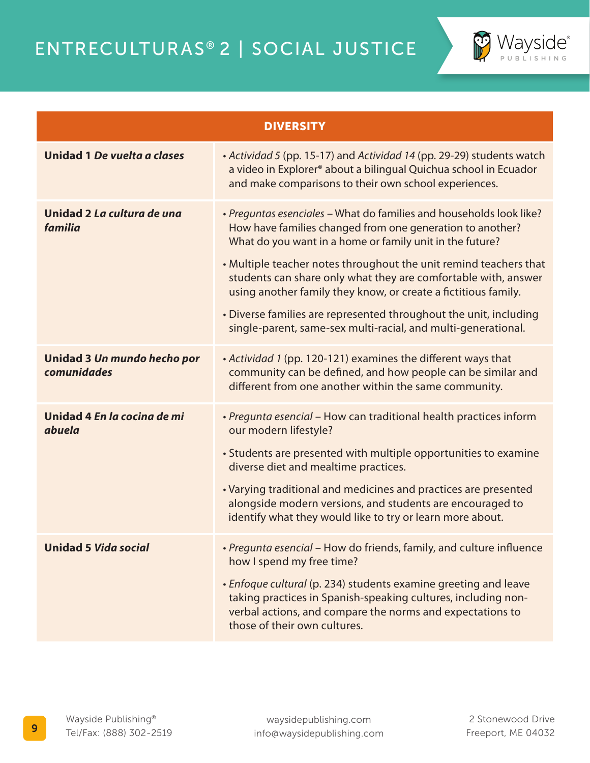

| <b>DIVERSITY</b>                           |                                                                                                                                                                                                                                                                                                                                                                                                                                                                                                                                             |  |
|--------------------------------------------|---------------------------------------------------------------------------------------------------------------------------------------------------------------------------------------------------------------------------------------------------------------------------------------------------------------------------------------------------------------------------------------------------------------------------------------------------------------------------------------------------------------------------------------------|--|
| Unidad 1 De vuelta a clases                | • Actividad 5 (pp. 15-17) and Actividad 14 (pp. 29-29) students watch<br>a video in Explorer <sup>®</sup> about a bilingual Quichua school in Ecuador<br>and make comparisons to their own school experiences.                                                                                                                                                                                                                                                                                                                              |  |
| Unidad 2 La cultura de una<br>familia      | • Preguntas esenciales - What do families and households look like?<br>How have families changed from one generation to another?<br>What do you want in a home or family unit in the future?<br>• Multiple teacher notes throughout the unit remind teachers that<br>students can share only what they are comfortable with, answer<br>using another family they know, or create a fictitious family.<br>• Diverse families are represented throughout the unit, including<br>single-parent, same-sex multi-racial, and multi-generational. |  |
| Unidad 3 Un mundo hecho por<br>comunidades | • Actividad 1 (pp. 120-121) examines the different ways that<br>community can be defined, and how people can be similar and<br>different from one another within the same community.                                                                                                                                                                                                                                                                                                                                                        |  |
| Unidad 4 En la cocina de mi<br>abuela      | · Pregunta esencial - How can traditional health practices inform<br>our modern lifestyle?<br>• Students are presented with multiple opportunities to examine<br>diverse diet and mealtime practices.<br>• Varying traditional and medicines and practices are presented<br>alongside modern versions, and students are encouraged to<br>identify what they would like to try or learn more about.                                                                                                                                          |  |
| <b>Unidad 5 Vida social</b>                | · Pregunta esencial - How do friends, family, and culture influence<br>how I spend my free time?<br>• Enfoque cultural (p. 234) students examine greeting and leave<br>taking practices in Spanish-speaking cultures, including non-<br>verbal actions, and compare the norms and expectations to<br>those of their own cultures.                                                                                                                                                                                                           |  |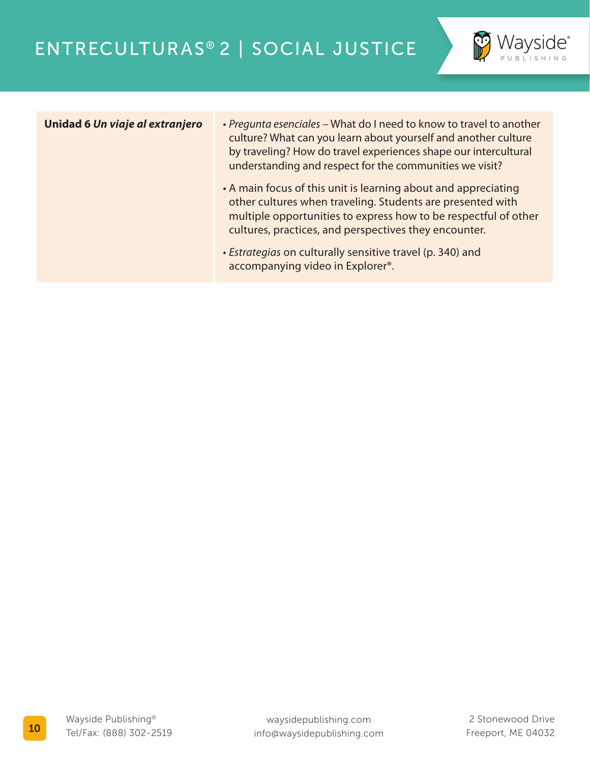

- **Unidad 6** *Un viaje al extranjero Pregunta esenciales* What do I need to know to travel to another culture? What can you learn about yourself and another culture by traveling? How do travel experiences shape our intercultural understanding and respect for the communities we visit?
	- A main focus of this unit is learning about and appreciating other cultures when traveling. Students are presented with multiple opportunities to express how to be respectful of other cultures, practices, and perspectives they encounter.
	- *Estrategias* on culturally sensitive travel (p. 340) and accompanying video in Explorer®.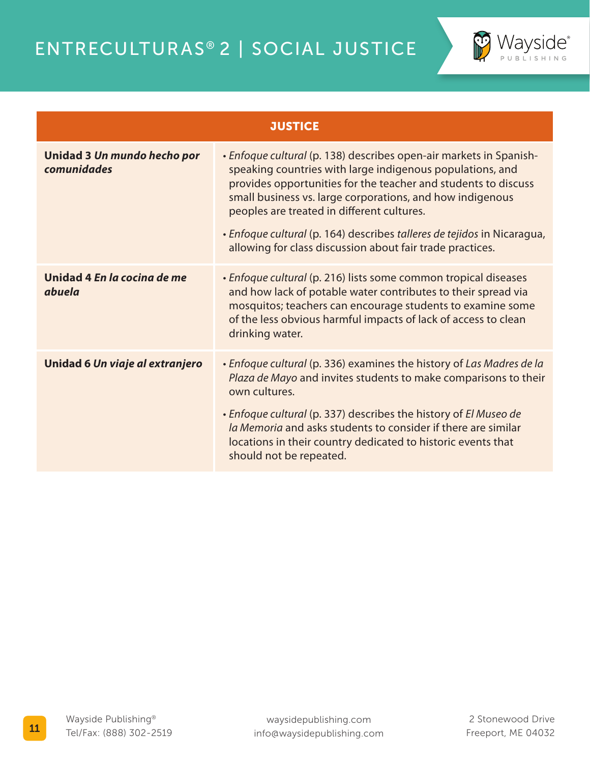

| <b>JUSTICE</b>                             |                                                                                                                                                                                                                                                                                                                                                                                                                                                      |
|--------------------------------------------|------------------------------------------------------------------------------------------------------------------------------------------------------------------------------------------------------------------------------------------------------------------------------------------------------------------------------------------------------------------------------------------------------------------------------------------------------|
| Unidad 3 Un mundo hecho por<br>comunidades | • Enfoque cultural (p. 138) describes open-air markets in Spanish-<br>speaking countries with large indigenous populations, and<br>provides opportunities for the teacher and students to discuss<br>small business vs. large corporations, and how indigenous<br>peoples are treated in different cultures.<br>· Enfoque cultural (p. 164) describes talleres de tejidos in Nicaragua,<br>allowing for class discussion about fair trade practices. |
| Unidad 4 En la cocina de me<br>abuela      | • Enfoque cultural (p. 216) lists some common tropical diseases<br>and how lack of potable water contributes to their spread via<br>mosquitos; teachers can encourage students to examine some<br>of the less obvious harmful impacts of lack of access to clean<br>drinking water.                                                                                                                                                                  |
| Unidad 6 Un viaje al extranjero            | • Enfoque cultural (p. 336) examines the history of Las Madres de la<br>Plaza de Mayo and invites students to make comparisons to their<br>own cultures.<br>• Enfoque cultural (p. 337) describes the history of El Museo de<br>la Memoria and asks students to consider if there are similar<br>locations in their country dedicated to historic events that<br>should not be repeated.                                                             |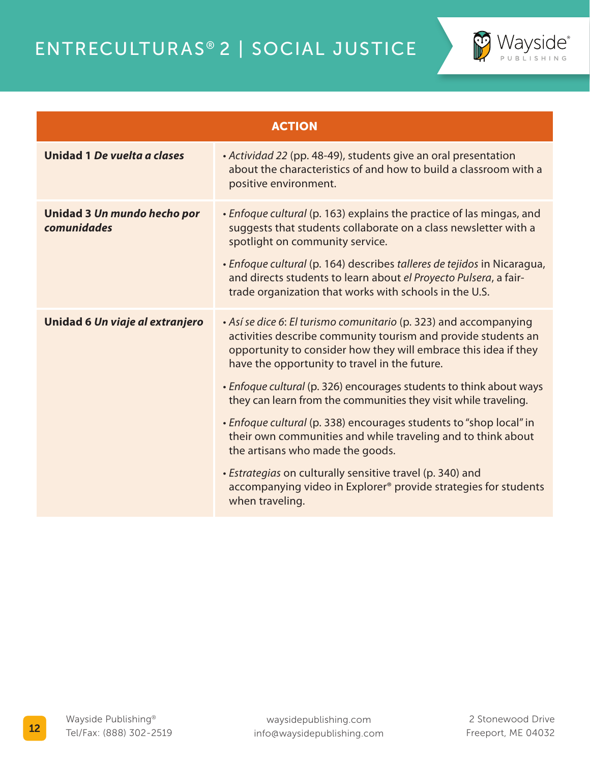

| <b>ACTION</b>                              |                                                                                                                                                                                                                                                                                                                                                                                                  |
|--------------------------------------------|--------------------------------------------------------------------------------------------------------------------------------------------------------------------------------------------------------------------------------------------------------------------------------------------------------------------------------------------------------------------------------------------------|
| Unidad 1 De vuelta a clases                | · Actividad 22 (pp. 48-49), students give an oral presentation<br>about the characteristics of and how to build a classroom with a<br>positive environment.                                                                                                                                                                                                                                      |
| Unidad 3 Un mundo hecho por<br>comunidades | • Enfoque cultural (p. 163) explains the practice of las mingas, and<br>suggests that students collaborate on a class newsletter with a<br>spotlight on community service.<br>· Enfoque cultural (p. 164) describes talleres de tejidos in Nicaragua,<br>and directs students to learn about el Proyecto Pulsera, a fair-<br>trade organization that works with schools in the U.S.              |
| Unidad 6 Un viaje al extranjero            | • Así se dice 6: El turismo comunitario (p. 323) and accompanying<br>activities describe community tourism and provide students an<br>opportunity to consider how they will embrace this idea if they<br>have the opportunity to travel in the future.<br>· Enfoque cultural (p. 326) encourages students to think about ways<br>they can learn from the communities they visit while traveling. |
|                                            | • Enfoque cultural (p. 338) encourages students to "shop local" in<br>their own communities and while traveling and to think about<br>the artisans who made the goods.                                                                                                                                                                                                                           |
|                                            | · Estrategias on culturally sensitive travel (p. 340) and<br>accompanying video in Explorer® provide strategies for students<br>when traveling.                                                                                                                                                                                                                                                  |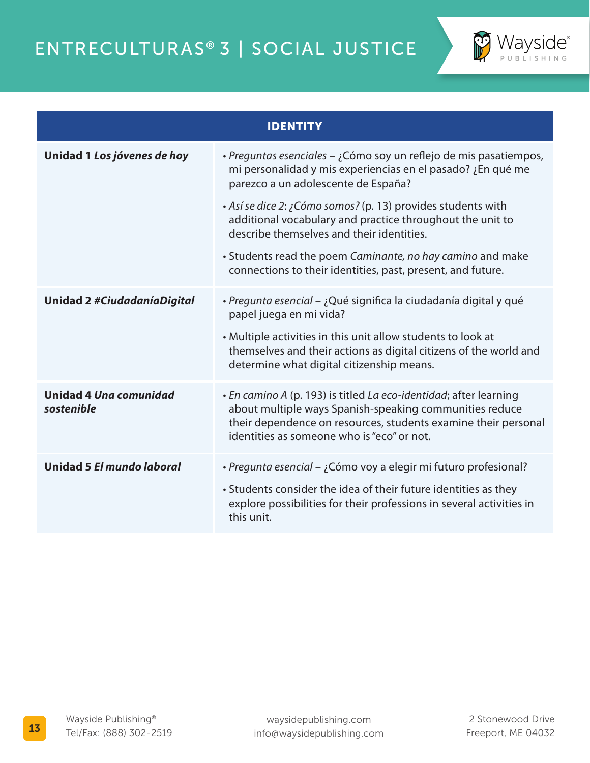

| <b>IDENTITY</b>                      |                                                                                                                                                                                                                                                                                                                                                                                                                                                                                |
|--------------------------------------|--------------------------------------------------------------------------------------------------------------------------------------------------------------------------------------------------------------------------------------------------------------------------------------------------------------------------------------------------------------------------------------------------------------------------------------------------------------------------------|
| Unidad 1 Los jóvenes de hoy          | · Preguntas esenciales – ¿Cómo soy un reflejo de mis pasatiempos,<br>mi personalidad y mis experiencias en el pasado? ¿En qué me<br>parezco a un adolescente de España?<br>• Así se dice 2: ¿Cómo somos? (p. 13) provides students with<br>additional vocabulary and practice throughout the unit to<br>describe themselves and their identities.<br>• Students read the poem Caminante, no hay camino and make<br>connections to their identities, past, present, and future. |
| <b>Unidad 2 #CiudadaníaDigital</b>   | · Pregunta esencial – ¿Qué significa la ciudadanía digital y qué<br>papel juega en mi vida?<br>• Multiple activities in this unit allow students to look at<br>themselves and their actions as digital citizens of the world and<br>determine what digital citizenship means.                                                                                                                                                                                                  |
| Unidad 4 Una comunidad<br>sostenible | • En camino A (p. 193) is titled La eco-identidad; after learning<br>about multiple ways Spanish-speaking communities reduce<br>their dependence on resources, students examine their personal<br>identities as someone who is "eco" or not.                                                                                                                                                                                                                                   |
| Unidad 5 El mundo laboral            | · Pregunta esencial – ¿Cómo voy a elegir mi futuro profesional?<br>• Students consider the idea of their future identities as they<br>explore possibilities for their professions in several activities in<br>this unit.                                                                                                                                                                                                                                                       |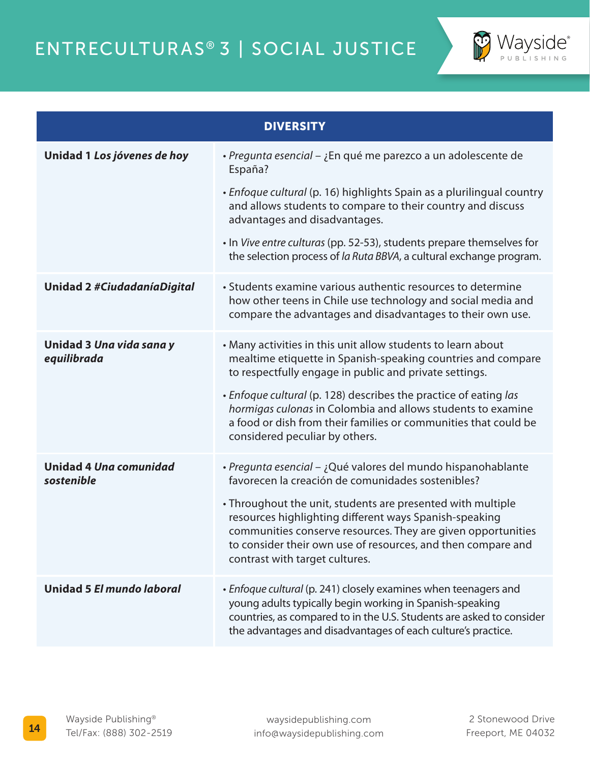

| <b>DIVERSITY</b>                            |                                                                                                                                                                                                                                                                                                                                                                                                                                |
|---------------------------------------------|--------------------------------------------------------------------------------------------------------------------------------------------------------------------------------------------------------------------------------------------------------------------------------------------------------------------------------------------------------------------------------------------------------------------------------|
| Unidad 1 Los jóvenes de hoy                 | · Pregunta esencial – ¿En qué me parezco a un adolescente de<br>España?<br>• Enfoque cultural (p. 16) highlights Spain as a plurilingual country<br>and allows students to compare to their country and discuss<br>advantages and disadvantages.<br>. In Vive entre culturas (pp. 52-53), students prepare themselves for<br>the selection process of la Ruta BBVA, a cultural exchange program.                               |
|                                             |                                                                                                                                                                                                                                                                                                                                                                                                                                |
| <b>Unidad 2 #CiudadaníaDigital</b>          | • Students examine various authentic resources to determine<br>how other teens in Chile use technology and social media and<br>compare the advantages and disadvantages to their own use.                                                                                                                                                                                                                                      |
| Unidad 3 Una vida sana y<br>equilibrada     | • Many activities in this unit allow students to learn about<br>mealtime etiquette in Spanish-speaking countries and compare<br>to respectfully engage in public and private settings.<br>• Enfoque cultural (p. 128) describes the practice of eating las<br>hormigas culonas in Colombia and allows students to examine<br>a food or dish from their families or communities that could be<br>considered peculiar by others. |
| <b>Unidad 4 Una comunidad</b><br>sostenible | · Pregunta esencial - ¿Qué valores del mundo hispanohablante<br>favorecen la creación de comunidades sostenibles?<br>• Throughout the unit, students are presented with multiple<br>resources highlighting different ways Spanish-speaking<br>communities conserve resources. They are given opportunities<br>to consider their own use of resources, and then compare and<br>contrast with target cultures.                   |
| Unidad 5 El mundo laboral                   | • Enfoque cultural (p. 241) closely examines when teenagers and<br>young adults typically begin working in Spanish-speaking<br>countries, as compared to in the U.S. Students are asked to consider<br>the advantages and disadvantages of each culture's practice.                                                                                                                                                            |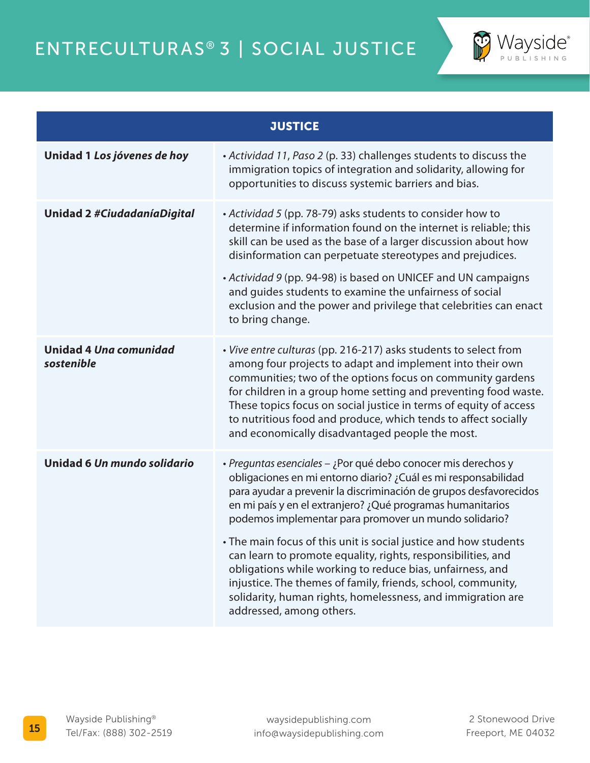

| <b>JUSTICE</b>                       |                                                                                                                                                                                                                                                                                                                                                                                                                                                                                   |  |
|--------------------------------------|-----------------------------------------------------------------------------------------------------------------------------------------------------------------------------------------------------------------------------------------------------------------------------------------------------------------------------------------------------------------------------------------------------------------------------------------------------------------------------------|--|
| Unidad 1 Los jóvenes de hoy          | • Actividad 11, Paso 2 (p. 33) challenges students to discuss the<br>immigration topics of integration and solidarity, allowing for<br>opportunities to discuss systemic barriers and bias.                                                                                                                                                                                                                                                                                       |  |
| Unidad 2 #CiudadaníaDigital          | • Actividad 5 (pp. 78-79) asks students to consider how to<br>determine if information found on the internet is reliable; this<br>skill can be used as the base of a larger discussion about how<br>disinformation can perpetuate stereotypes and prejudices.<br>• Actividad 9 (pp. 94-98) is based on UNICEF and UN campaigns<br>and guides students to examine the unfairness of social<br>exclusion and the power and privilege that celebrities can enact<br>to bring change. |  |
| Unidad 4 Una comunidad<br>sostenible | • Vive entre culturas (pp. 216-217) asks students to select from<br>among four projects to adapt and implement into their own<br>communities; two of the options focus on community gardens<br>for children in a group home setting and preventing food waste.<br>These topics focus on social justice in terms of equity of access<br>to nutritious food and produce, which tends to affect socially<br>and economically disadvantaged people the most.                          |  |
| Unidad 6 Un mundo solidario          | · Preguntas esenciales – ¿Por qué debo conocer mis derechos y<br>obligaciones en mi entorno diario? ¿Cuál es mi responsabilidad<br>para ayudar a prevenir la discriminación de grupos desfavorecidos<br>en mi país y en el extranjero? ¿Qué programas humanitarios<br>podemos implementar para promover un mundo solidario?                                                                                                                                                       |  |
|                                      | • The main focus of this unit is social justice and how students<br>can learn to promote equality, rights, responsibilities, and<br>obligations while working to reduce bias, unfairness, and<br>injustice. The themes of family, friends, school, community,<br>solidarity, human rights, homelessness, and immigration are<br>addressed, among others.                                                                                                                          |  |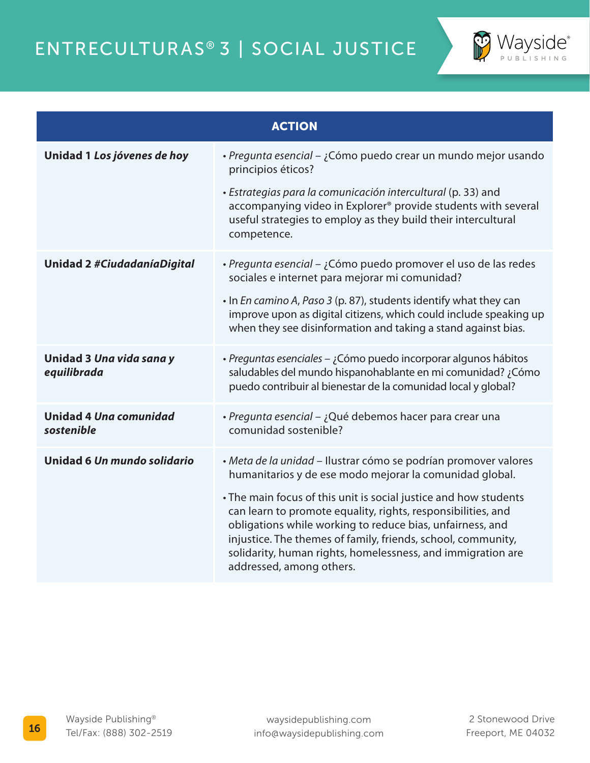

| <b>ACTION</b>                               |                                                                                                                                                                                                                                                                                                                                                                                                                                                                                        |  |
|---------------------------------------------|----------------------------------------------------------------------------------------------------------------------------------------------------------------------------------------------------------------------------------------------------------------------------------------------------------------------------------------------------------------------------------------------------------------------------------------------------------------------------------------|--|
| Unidad 1 Los jóvenes de hoy                 | · Pregunta esencial – ¿Cómo puedo crear un mundo mejor usando<br>principios éticos?<br>· Estrategias para la comunicación intercultural (p. 33) and<br>accompanying video in Explorer® provide students with several<br>useful strategies to employ as they build their intercultural<br>competence.                                                                                                                                                                                   |  |
| <b>Unidad 2 #CiudadaníaDigital</b>          | · Pregunta esencial – ¿Cómo puedo promover el uso de las redes<br>sociales e internet para mejorar mi comunidad?<br>. In En camino A, Paso 3 (p. 87), students identify what they can<br>improve upon as digital citizens, which could include speaking up<br>when they see disinformation and taking a stand against bias.                                                                                                                                                            |  |
| Unidad 3 Una vida sana y<br>equilibrada     | · Preguntas esenciales – ¿Cómo puedo incorporar algunos hábitos<br>saludables del mundo hispanohablante en mi comunidad? ¿Cómo<br>puedo contribuir al bienestar de la comunidad local y global?                                                                                                                                                                                                                                                                                        |  |
| <b>Unidad 4 Una comunidad</b><br>sostenible | · Pregunta esencial – ¿Qué debemos hacer para crear una<br>comunidad sostenible?                                                                                                                                                                                                                                                                                                                                                                                                       |  |
| Unidad 6 Un mundo solidario                 | · Meta de la unidad - Ilustrar cómo se podrían promover valores<br>humanitarios y de ese modo mejorar la comunidad global.<br>• The main focus of this unit is social justice and how students<br>can learn to promote equality, rights, responsibilities, and<br>obligations while working to reduce bias, unfairness, and<br>injustice. The themes of family, friends, school, community,<br>solidarity, human rights, homelessness, and immigration are<br>addressed, among others. |  |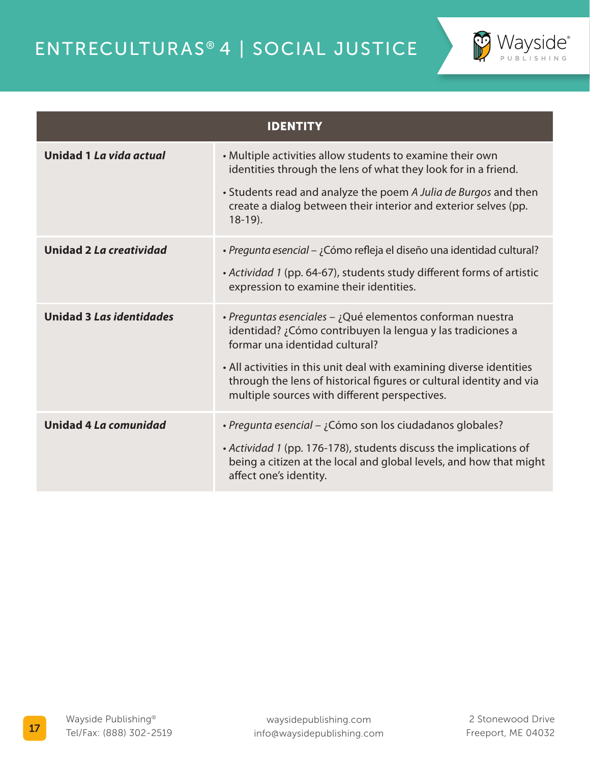

| <b>IDENTITY</b>                 |                                                                                                                                                                                                                                                                                                                                                           |  |
|---------------------------------|-----------------------------------------------------------------------------------------------------------------------------------------------------------------------------------------------------------------------------------------------------------------------------------------------------------------------------------------------------------|--|
| Unidad 1 La vida actual         | • Multiple activities allow students to examine their own<br>identities through the lens of what they look for in a friend.<br>• Students read and analyze the poem A Julia de Burgos and then<br>create a dialog between their interior and exterior selves (pp.<br>$18-19$ ).                                                                           |  |
| <b>Unidad 2 La creatividad</b>  | · Pregunta esencial – ¿Cómo refleja el diseño una identidad cultural?<br>• Actividad 1 (pp. 64-67), students study different forms of artistic<br>expression to examine their identities.                                                                                                                                                                 |  |
| <b>Unidad 3 Las identidades</b> | · Preguntas esenciales - ¿Qué elementos conforman nuestra<br>identidad? ¿Cómo contribuyen la lengua y las tradiciones a<br>formar una identidad cultural?<br>• All activities in this unit deal with examining diverse identities<br>through the lens of historical figures or cultural identity and via<br>multiple sources with different perspectives. |  |
| Unidad 4 La comunidad           | • Pregunta esencial – ¿Cómo son los ciudadanos globales?<br>• Actividad 1 (pp. 176-178), students discuss the implications of<br>being a citizen at the local and global levels, and how that might<br>affect one's identity.                                                                                                                             |  |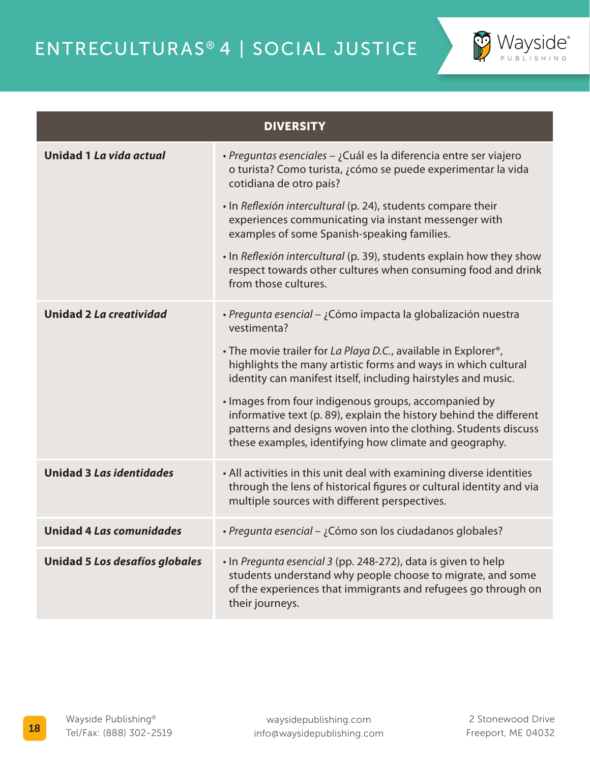

| <b>DIVERSITY</b>                |                                                                                                                                                                                                                                                                                                                                                                                                                                                                                                                                                        |  |
|---------------------------------|--------------------------------------------------------------------------------------------------------------------------------------------------------------------------------------------------------------------------------------------------------------------------------------------------------------------------------------------------------------------------------------------------------------------------------------------------------------------------------------------------------------------------------------------------------|--|
| Unidad 1 La vida actual         | · Preguntas esenciales - ¿Cuál es la diferencia entre ser viajero<br>o turista? Como turista, ¿cómo se puede experimentar la vida<br>cotidiana de otro país?                                                                                                                                                                                                                                                                                                                                                                                           |  |
|                                 | · In Reflexión intercultural (p. 24), students compare their<br>experiences communicating via instant messenger with<br>examples of some Spanish-speaking families.                                                                                                                                                                                                                                                                                                                                                                                    |  |
|                                 | . In Reflexión intercultural (p. 39), students explain how they show<br>respect towards other cultures when consuming food and drink<br>from those cultures.                                                                                                                                                                                                                                                                                                                                                                                           |  |
| <b>Unidad 2 La creatividad</b>  | · Pregunta esencial - ¿Cómo impacta la globalización nuestra<br>vestimenta?<br>• The movie trailer for La Playa D.C., available in Explorer <sup>®</sup> ,<br>highlights the many artistic forms and ways in which cultural<br>identity can manifest itself, including hairstyles and music.<br>· Images from four indigenous groups, accompanied by<br>informative text (p. 89), explain the history behind the different<br>patterns and designs woven into the clothing. Students discuss<br>these examples, identifying how climate and geography. |  |
| <b>Unidad 3 Las identidades</b> | • All activities in this unit deal with examining diverse identities<br>through the lens of historical figures or cultural identity and via<br>multiple sources with different perspectives.                                                                                                                                                                                                                                                                                                                                                           |  |
| <b>Unidad 4 Las comunidades</b> | · Pregunta esencial - ¿Cómo son los ciudadanos globales?                                                                                                                                                                                                                                                                                                                                                                                                                                                                                               |  |
| Unidad 5 Los desafíos globales  | · In Pregunta esencial 3 (pp. 248-272), data is given to help<br>students understand why people choose to migrate, and some<br>of the experiences that immigrants and refugees go through on<br>their journeys.                                                                                                                                                                                                                                                                                                                                        |  |

2 Stonewood Drive Freeport, ME 04032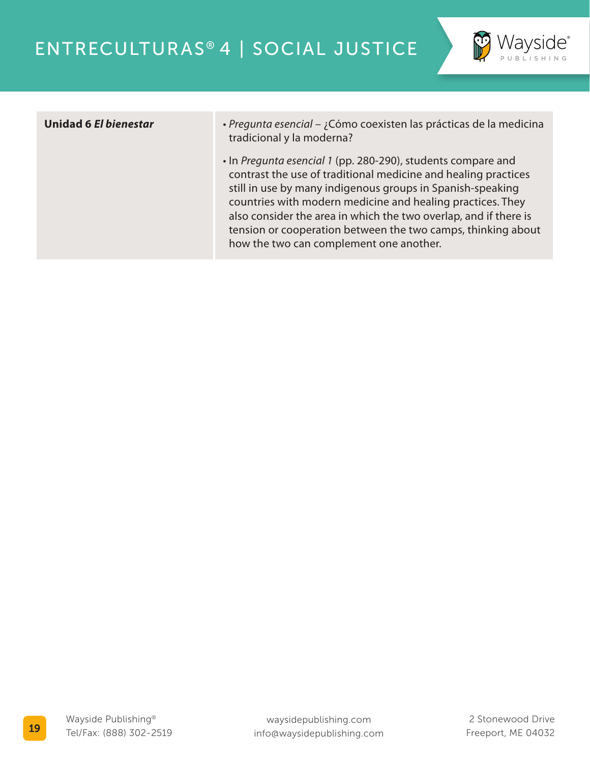

- **Unidad 6** *El bienestar Pregunta esencial* ¿Cómo coexisten las prácticas de la medicina tradicional y la moderna?
	- In *Pregunta esencial 1* (pp. 280-290), students compare and contrast the use of traditional medicine and healing practices still in use by many indigenous groups in Spanish-speaking countries with modern medicine and healing practices. They also consider the area in which the two overlap, and if there is tension or cooperation between the two camps, thinking about how the two can complement one another.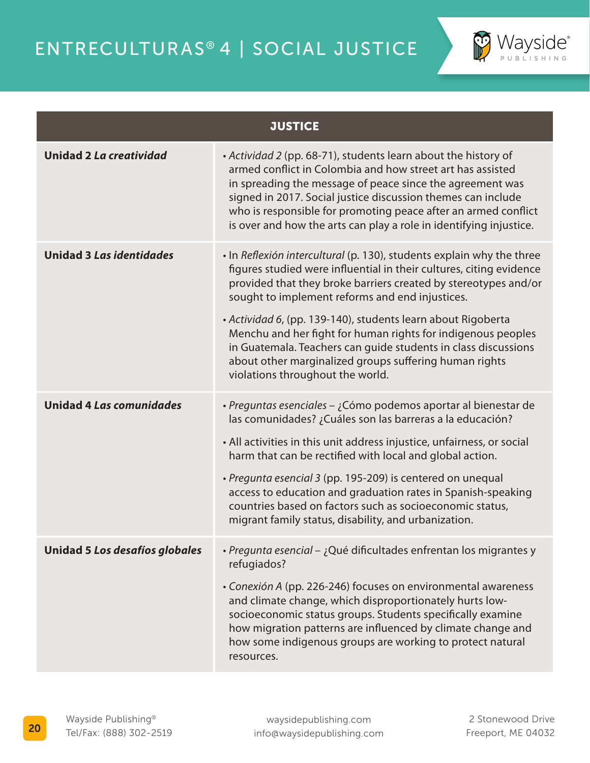

| <b>JUSTICE</b>                  |                                                                                                                                                                                                                                                                                                                                                                                                                                                                                                                                                                    |  |
|---------------------------------|--------------------------------------------------------------------------------------------------------------------------------------------------------------------------------------------------------------------------------------------------------------------------------------------------------------------------------------------------------------------------------------------------------------------------------------------------------------------------------------------------------------------------------------------------------------------|--|
| <b>Unidad 2 La creatividad</b>  | • Actividad 2 (pp. 68-71), students learn about the history of<br>armed conflict in Colombia and how street art has assisted<br>in spreading the message of peace since the agreement was<br>signed in 2017. Social justice discussion themes can include<br>who is responsible for promoting peace after an armed conflict<br>is over and how the arts can play a role in identifying injustice.                                                                                                                                                                  |  |
| <b>Unidad 3 Las identidades</b> | . In Reflexión intercultural (p. 130), students explain why the three<br>figures studied were influential in their cultures, citing evidence<br>provided that they broke barriers created by stereotypes and/or<br>sought to implement reforms and end injustices.<br>· Actividad 6, (pp. 139-140), students learn about Rigoberta<br>Menchu and her fight for human rights for indigenous peoples<br>in Guatemala. Teachers can guide students in class discussions<br>about other marginalized groups suffering human rights<br>violations throughout the world. |  |
| <b>Unidad 4 Las comunidades</b> | · Preguntas esenciales – ¿Cómo podemos aportar al bienestar de<br>las comunidades? ¿Cuáles son las barreras a la educación?<br>• All activities in this unit address injustice, unfairness, or social<br>harm that can be rectified with local and global action.<br>• Pregunta esencial 3 (pp. 195-209) is centered on unequal<br>access to education and graduation rates in Spanish-speaking<br>countries based on factors such as socioeconomic status,<br>migrant family status, disability, and urbanization.                                                |  |
| Unidad 5 Los desafíos globales  | · Pregunta esencial - ¿Qué dificultades enfrentan los migrantes y<br>refugiados?<br>• Conexión A (pp. 226-246) focuses on environmental awareness<br>and climate change, which disproportionately hurts low-<br>socioeconomic status groups. Students specifically examine<br>how migration patterns are influenced by climate change and<br>how some indigenous groups are working to protect natural<br>resources.                                                                                                                                               |  |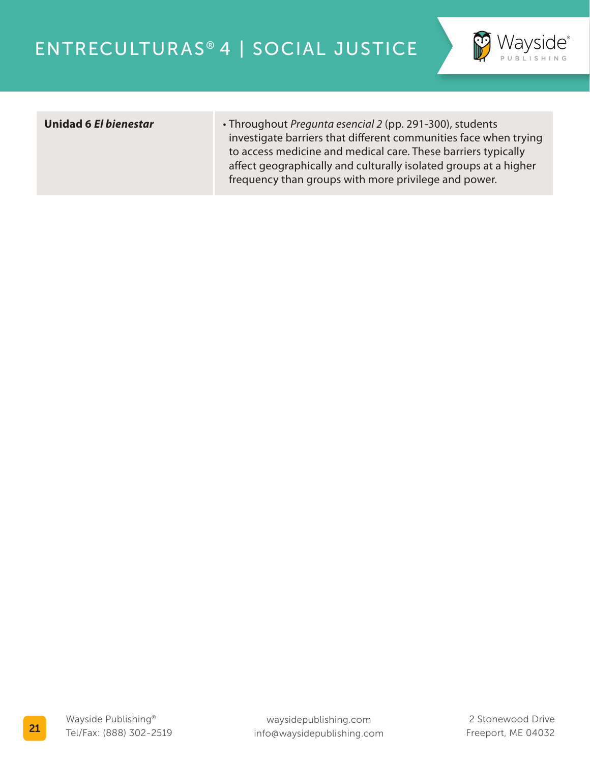

**Unidad 6** *El bienestar* • Throughout *Pregunta esencial 2* (pp. 291-300), students investigate barriers that different communities face when trying to access medicine and medical care. These barriers typically affect geographically and culturally isolated groups at a higher frequency than groups with more privilege and power.